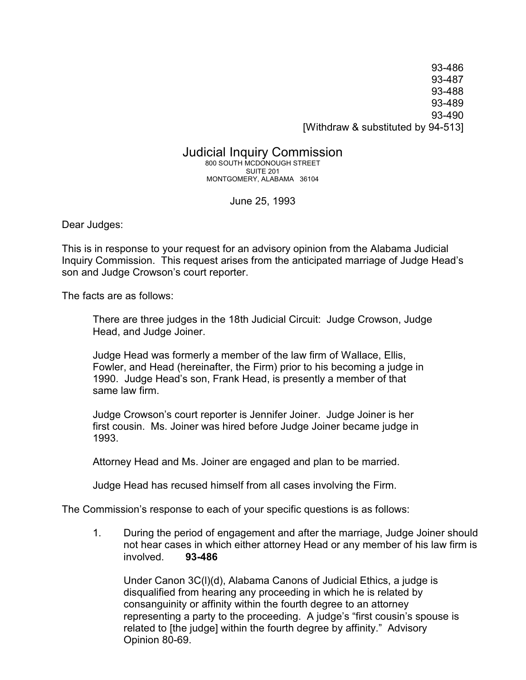93-486 93-487 93-488 93-489 93-490 [Withdraw & substituted by 94-513]

## Judicial Inquiry Commission

800 SOUTH MCDONOUGH STREET SUITE 201 MONTGOMERY, ALABAMA 36104

June 25, 1993

Dear Judges:

This is in response to your request for an advisory opinion from the Alabama Judicial Inquiry Commission. This request arises from the anticipated marriage of Judge Head's son and Judge Crowson's court reporter.

The facts are as follows:

There are three judges in the 18th Judicial Circuit: Judge Crowson, Judge Head, and Judge Joiner.

Judge Head was formerly a member of the law firm of Wallace, Ellis, Fowler, and Head (hereinafter, the Firm) prior to his becoming a judge in 1990. Judge Head's son, Frank Head, is presently a member of that same law firm.

Judge Crowson's court reporter is Jennifer Joiner. Judge Joiner is her first cousin. Ms. Joiner was hired before Judge Joiner became judge in 1993.

Attorney Head and Ms. Joiner are engaged and plan to be married.

Judge Head has recused himself from all cases involving the Firm.

The Commission's response to each of your specific questions is as follows:

1. During the period of engagement and after the marriage, Judge Joiner should not hear cases in which either attorney Head or any member of his law firm is involved. **93-486**

Under Canon 3C(l)(d), Alabama Canons of Judicial Ethics, a judge is disqualified from hearing any proceeding in which he is related by consanguinity or affinity within the fourth degree to an attorney representing a party to the proceeding. A judge's "first cousin's spouse is related to [the judge] within the fourth degree by affinity." Advisory Opinion 80-69.